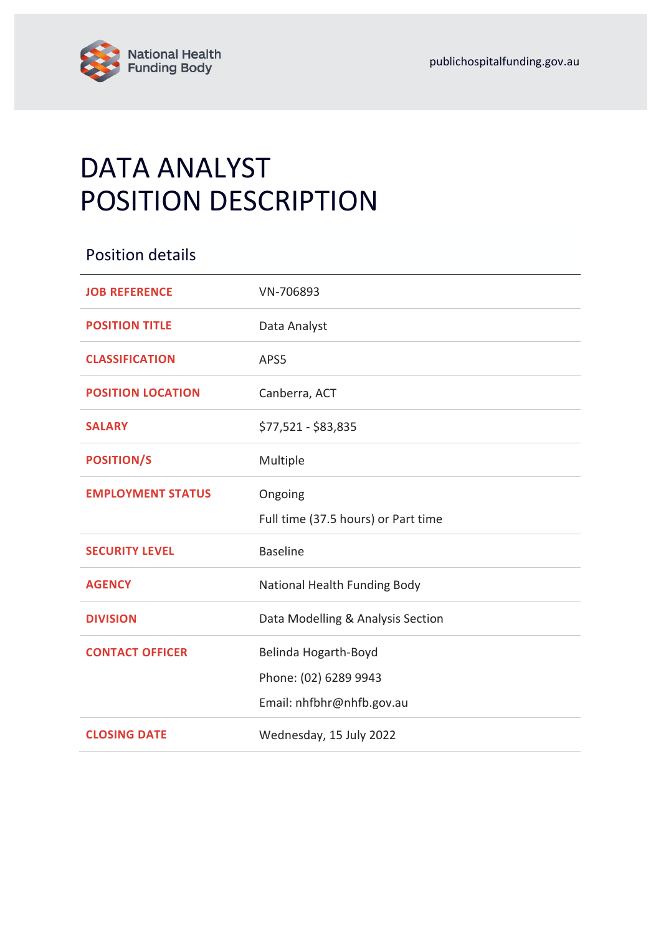

# DATA ANALYST POSITION DESCRIPTION

| <b>Position details</b>  |                                     |
|--------------------------|-------------------------------------|
| <b>JOB REFERENCE</b>     | VN-706893                           |
| <b>POSITION TITLE</b>    | Data Analyst                        |
| <b>CLASSIFICATION</b>    | APS5                                |
| <b>POSITION LOCATION</b> | Canberra, ACT                       |
| <b>SALARY</b>            | \$77,521 - \$83,835                 |
| <b>POSITION/S</b>        | Multiple                            |
| <b>EMPLOYMENT STATUS</b> | Ongoing                             |
|                          | Full time (37.5 hours) or Part time |
| <b>SECURITY LEVEL</b>    | <b>Baseline</b>                     |
| <b>AGENCY</b>            | National Health Funding Body        |
| <b>DIVISION</b>          | Data Modelling & Analysis Section   |
| <b>CONTACT OFFICER</b>   | Belinda Hogarth-Boyd                |
|                          | Phone: (02) 6289 9943               |
|                          | Email: nhfbhr@nhfb.gov.au           |
| <b>CLOSING DATE</b>      | Wednesday, 15 July 2022             |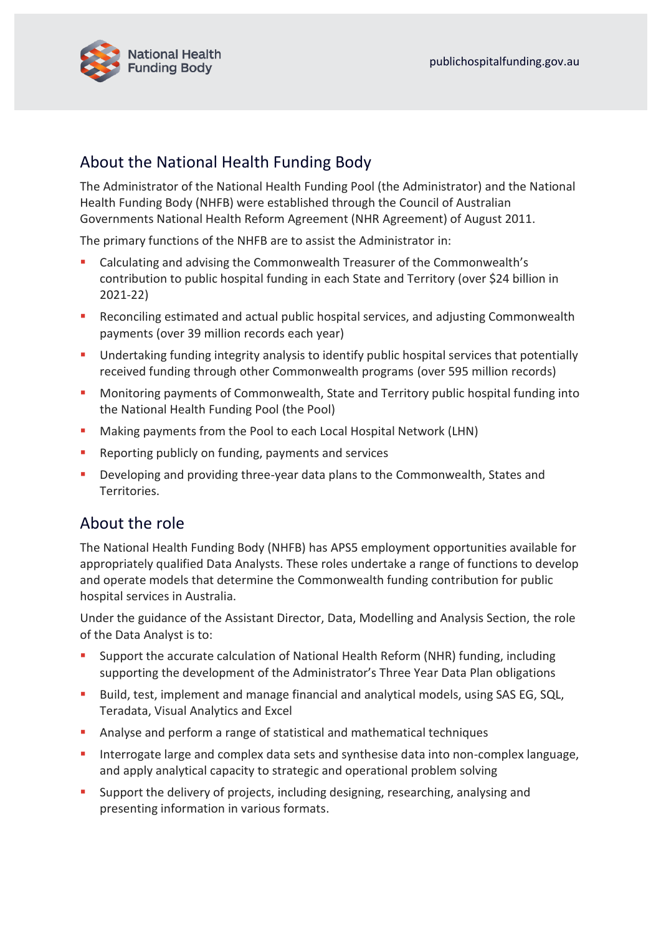

## About the National Health Funding Body

The Administrator of the National Health Funding Pool (the Administrator) and the National Health Funding Body (NHFB) were established through the Council of Australian Governments National Health Reform Agreement (NHR Agreement) of August 2011.

The primary functions of the NHFB are to assist the Administrator in:

- Calculating and advising the Commonwealth Treasurer of the Commonwealth's contribution to public hospital funding in each State and Territory (over \$24 billion in 2021-22)
- Reconciling estimated and actual public hospital services, and adjusting Commonwealth payments (over 39 million records each year)
- **■** Undertaking funding integrity analysis to identify public hospital services that potentially received funding through other Commonwealth programs (over 595 million records)
- Monitoring payments of Commonwealth, State and Territory public hospital funding into the National Health Funding Pool (the Pool)
- Making payments from the Pool to each Local Hospital Network (LHN)
- Reporting publicly on funding, payments and services
- Developing and providing three-year data plans to the Commonwealth, States and Territories.

## About the role

The National Health Funding Body (NHFB) has APS5 employment opportunities available for appropriately qualified Data Analysts. These roles undertake a range of functions to develop and operate models that determine the Commonwealth funding contribution for public hospital services in Australia.

Under the guidance of the Assistant Director, Data, Modelling and Analysis Section, the role of the Data Analyst is to:

- Support the accurate calculation of National Health Reform (NHR) funding, including supporting the development of the Administrator's Three Year Data Plan obligations
- Build, test, implement and manage financial and analytical models, using SAS EG, SQL, Teradata, Visual Analytics and Excel
- Analyse and perform a range of statistical and mathematical techniques
- **E** Interrogate large and complex data sets and synthesise data into non-complex language, and apply analytical capacity to strategic and operational problem solving
- Support the delivery of projects, including designing, researching, analysing and presenting information in various formats.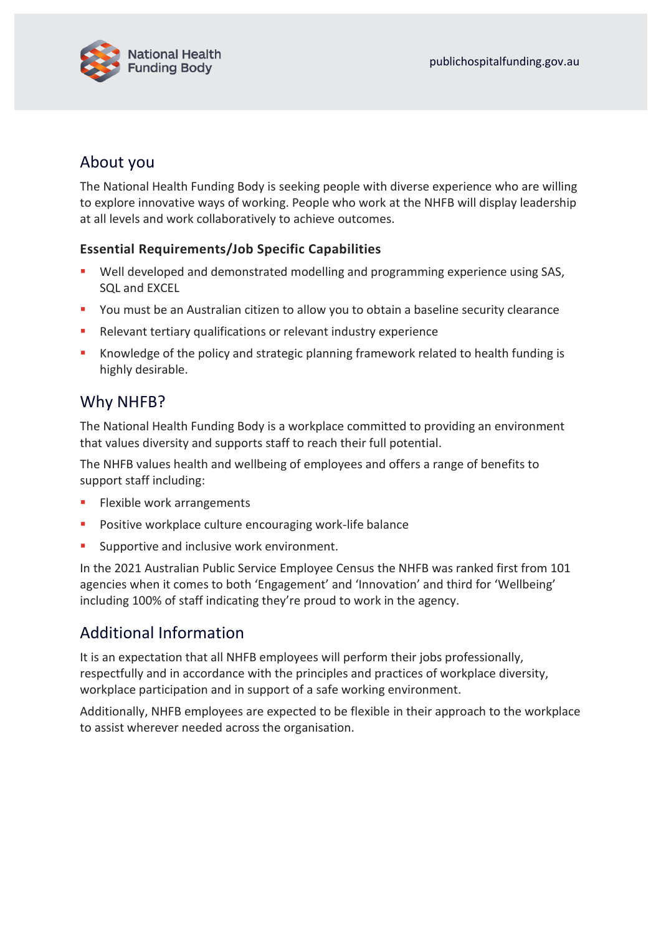

## About you

The National Health Funding Body is seeking people with diverse experience who are willing to explore innovative ways of working. People who work at the NHFB will display leadership at all levels and work collaboratively to achieve outcomes.

#### **Essential Requirements/Job Specific Capabilities**

- Well developed and demonstrated modelling and programming experience using SAS, SQL and EXCEL
- You must be an Australian citizen to allow you to obtain a baseline security clearance
- Relevant tertiary qualifications or relevant industry experience
- Knowledge of the policy and strategic planning framework related to health funding is highly desirable.

### Why NHFB?

The National Health Funding Body is a workplace committed to providing an environment that values diversity and supports staff to reach their full potential.

The NHFB values health and wellbeing of employees and offers a range of benefits to support staff including:

- Flexible work arrangements
- Positive workplace culture encouraging work-life balance
- **EXECUTE:** Supportive and inclusive work environment.

In the 2021 Australian Public Service Employee Census the NHFB was ranked first from 101 agencies when it comes to both 'Engagement' and 'Innovation' and third for 'Wellbeing' including 100% of staff indicating they're proud to work in the agency.

# Additional Information

It is an expectation that all NHFB employees will perform their jobs professionally, respectfully and in accordance with the principles and practices of workplace diversity, workplace participation and in support of a safe working environment.

Additionally, NHFB employees are expected to be flexible in their approach to the workplace to assist wherever needed across the organisation.